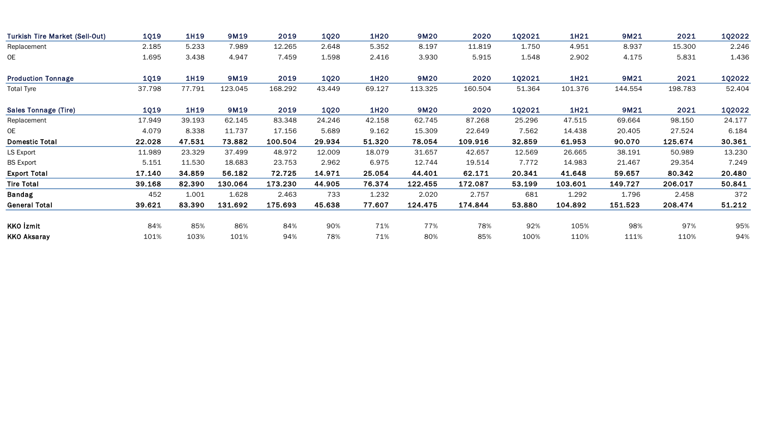| <b>Turkish Tire Market (Sell-Out)</b> | <b>1Q19</b> | 1H19   | 9M19    | 2019    | <b>1Q20</b> | 1H20   | 9M20    | 2020    | 1Q2021 | 1H21    | 9M21    | 2021    | 1Q2022 |
|---------------------------------------|-------------|--------|---------|---------|-------------|--------|---------|---------|--------|---------|---------|---------|--------|
| Replacement                           | 2.185       | 5.233  | 7.989   | 12.265  | 2.648       | 5.352  | 8.197   | 11.819  | 1.750  | 4.951   | 8.937   | 15.300  | 2.246  |
| 0E                                    | 1.695       | 3.438  | 4.947   | 7.459   | 1.598       | 2.416  | 3.930   | 5.915   | 1.548  | 2.902   | 4.175   | 5.831   | 1.436  |
| <b>Production Tonnage</b>             | <b>1Q19</b> | 1H19   | 9M19    | 2019    | 1Q20        | 1H20   | 9M20    | 2020    | 102021 | 1H21    | 9M21    | 2021    | 1Q2022 |
| <b>Total Tyre</b>                     | 37.798      | 77.791 | 123.045 | 168.292 | 43.449      | 69.127 | 113.325 | 160.504 | 51.364 | 101.376 | 144.554 | 198.783 | 52.404 |
| <b>Sales Tonnage (Tire)</b>           | <b>1Q19</b> | 1H19   | 9M19    | 2019    | <b>1Q20</b> | 1H20   | 9M20    | 2020    | 1Q2021 | 1H21    | 9M21    | 2021    | 1Q2022 |
| Replacement                           | 17.949      | 39.193 | 62.145  | 83.348  | 24.246      | 42.158 | 62.745  | 87.268  | 25.296 | 47.515  | 69.664  | 98.150  | 24.177 |
| 0E                                    | 4.079       | 8.338  | 11.737  | 17.156  | 5.689       | 9.162  | 15.309  | 22.649  | 7.562  | 14.438  | 20.405  | 27.524  | 6.184  |
| <b>Domestic Total</b>                 | 22.028      | 47.531 | 73.882  | 100.504 | 29.934      | 51.320 | 78.054  | 109.916 | 32.859 | 61.953  | 90.070  | 125.674 | 30.361 |
| LS Export                             | 11.989      | 23.329 | 37.499  | 48.972  | 12.009      | 18.079 | 31.657  | 42.657  | 12.569 | 26.665  | 38.191  | 50.989  | 13.230 |
| <b>BS Export</b>                      | 5.151       | 11.530 | 18.683  | 23.753  | 2.962       | 6.975  | 12.744  | 19.514  | 7.772  | 14.983  | 21.467  | 29.354  | 7.249  |
| <b>Export Total</b>                   | 17.140      | 34.859 | 56.182  | 72.725  | 14.971      | 25.054 | 44.401  | 62.171  | 20.341 | 41.648  | 59.657  | 80.342  | 20.480 |
| <b>Tire Total</b>                     | 39.168      | 82.390 | 130.064 | 173.230 | 44.905      | 76.374 | 122.455 | 172.087 | 53.199 | 103.601 | 149.727 | 206.017 | 50.841 |
| <b>Bandag</b>                         | 452         | 1.001  | 1.628   | 2.463   | 733         | 1.232  | 2.020   | 2.757   | 681    | 1.292   | 1.796   | 2.458   | 372    |
| <b>General Total</b>                  | 39.621      | 83.390 | 131.692 | 175.693 | 45.638      | 77.607 | 124.475 | 174.844 | 53.880 | 104.892 | 151.523 | 208.474 | 51.212 |
| KKO İzmit                             | 84%         | 85%    | 86%     | 84%     | 90%         | 71%    | 77%     | 78%     | 92%    | 105%    | 98%     | 97%     | 95%    |
| <b>KKO Aksaray</b>                    | 101%        | 103%   | 101%    | 94%     | 78%         | 71%    | 80%     | 85%     | 100%   | 110%    | 111%    | 110%    | 94%    |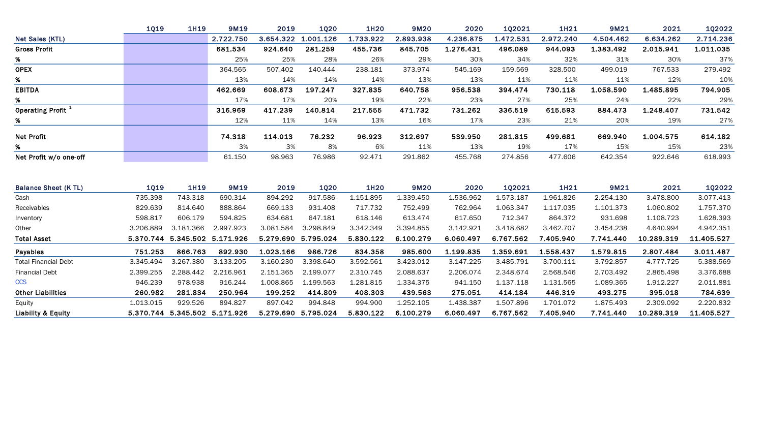|                               | 1Q19        | <b>1H19</b>                   | 9M19                | 2019      | 1020                | <b>1H20</b> | 9M20      | 2020      | 102021    | 1H21      | 9M21      | 2021       | <b>1Q2022</b> |
|-------------------------------|-------------|-------------------------------|---------------------|-----------|---------------------|-------------|-----------|-----------|-----------|-----------|-----------|------------|---------------|
| Net Sales (KTL)               |             |                               | 2.722.750           | 3.654.322 | 1.001.126           | 1.733.922   | 2.893.938 | 4.236.875 | 1.472.531 | 2.972.240 | 4.504.462 | 6.634.262  | 2.714.236     |
| <b>Gross Profit</b>           |             |                               | 681.534             | 924.640   | 281.259             | 455.736     | 845.705   | 1.276.431 | 496.089   | 944.093   | 1.383.492 | 2.015.941  | 1.011.035     |
| %                             |             |                               | 25%                 | 25%       | 28%                 | 26%         | 29%       | 30%       | 34%       | 32%       | 31%       | 30%        | 37%           |
| <b>OPEX</b>                   |             |                               | 364.565             | 507.402   | 140.444             | 238.181     | 373.974   | 545.169   | 159.569   | 328.500   | 499.019   | 767.533    | 279.492       |
| %                             |             |                               | 13%                 | 14%       | 14%                 | 14%         | 13%       | 13%       | 11%       | 11%       | 11%       | 12%        | 10%           |
| <b>EBITDA</b>                 |             |                               | 462.669             | 608.673   | 197.247             | 327.835     | 640.758   | 956.538   | 394.474   | 730.118   | 1.058.590 | 1.485.895  | 794.905       |
| %                             |             |                               | 17%                 | 17%       | 20%                 | 19%         | 22%       | 23%       | 27%       | 25%       | 24%       | 22%        | 29%           |
| Operating Profit <sup>1</sup> |             |                               | 316.969             | 417.239   | 140.814             | 217.555     | 471.732   | 731.262   | 336.519   | 615.593   | 884.473   | 1.248.407  | 731.542       |
| %                             |             |                               | 12%                 | 11%       | 14%                 | 13%         | 16%       | 17%       | 23%       | 21%       | 20%       | 19%        | 27%           |
| <b>Net Profit</b>             |             |                               | 74.318              | 114.013   | 76.232              | 96.923      | 312.697   | 539.950   | 281.815   | 499.681   | 669.940   | 1.004.575  | 614.182       |
| %                             |             |                               | 3%                  | 3%        | 8%                  | 6%          | 11%       | 13%       | 19%       | 17%       | 15%       | 15%        | 23%           |
| Net Profit w/o one-off        |             |                               | 61.150              | 98.963    | 76.986              | 92.471      | 291.862   | 455.768   | 274.856   | 477.606   | 642.354   | 922.646    | 618.993       |
| <b>Balance Sheet (K TL)</b>   | <b>1Q19</b> | 1H19                          | 9M19                | 2019      | <b>1Q20</b>         | <b>1H20</b> | 9M20      | 2020      | 102021    | 1H21      | 9M21      | 2021       | 1Q2022        |
| Cash                          | 735.398     | 743.318                       | 690.314             | 894.292   | 917.586             | 1.151.895   | 1.339.450 | 1.536.962 | 1.573.187 | 1.961.826 | 2.254.130 | 3.478.800  | 3.077.413     |
| Receivables                   | 829.639     | 814.640                       | 888.864             | 669.133   | 931.408             | 717.732     | 752.499   | 762.964   | 1.063.347 | 1.117.035 | 1.101.373 | 1.060.802  | 1.757.370     |
| Inventory                     | 598.817     | 606.179                       | 594.825             | 634.681   | 647.181             | 618.146     | 613.474   | 617.650   | 712.347   | 864.372   | 931.698   | 1.108.723  | 1.628.393     |
| Other                         | 3.206.889   | 3.181.366                     | 2.997.923           | 3.081.584 | 3.298.849           | 3.342.349   | 3.394.855 | 3.142.921 | 3.418.682 | 3.462.707 | 3.454.238 | 4.640.994  | 4.942.351     |
| <b>Total Asset</b>            | 5.370.744   |                               | 5.345.502 5.171.926 |           | 5.279.690 5.795.024 | 5.830.122   | 6.100.279 | 6.060.497 | 6.767.562 | 7.405.940 | 7.741.440 | 10.289.319 | 11.405.527    |
| Payables                      | 751.253     | 866.763                       | 892.930             | 1.023.166 | 986.726             | 834.358     | 985.600   | 1.199.835 | 1.359.691 | 1.558.437 | 1.579.815 | 2.807.484  | 3.011.487     |
| <b>Total Financial Debt</b>   | 3.345.494   | 3.267.380                     | 3.133.205           | 3.160.230 | 3.398.640           | 3.592.561   | 3.423.012 | 3.147.225 | 3.485.791 | 3.700.111 | 3.792.857 | 4.777.725  | 5.388.569     |
| <b>Financial Debt</b>         | 2.399.255   | 2.288.442                     | 2.216.961           | 2.151.365 | 2.199.077           | 2.310.745   | 2.088.637 | 2.206.074 | 2.348.674 | 2.568.546 | 2.703.492 | 2.865.498  | 3.376.688     |
| <b>CCS</b>                    | 946.239     | 978.938                       | 916.244             | 1.008.865 | 1.199.563           | 1.281.815   | 1.334.375 | 941.150   | 1.137.118 | 1.131.565 | 1.089.365 | 1.912.227  | 2.011.881     |
| <b>Other Liabilities</b>      | 260.982     | 281.834                       | 250.964             | 199.252   | 414.809             | 408.303     | 439.563   | 275.051   | 414.184   | 446.319   | 493.275   | 395.018    | 784.639       |
| Equity                        | 1.013.015   | 929.526                       | 894.827             | 897.042   | 994.848             | 994.900     | 1.252.105 | 1.438.387 | 1.507.896 | 1.701.072 | 1.875.493 | 2.309.092  | 2.220.832     |
| Liability & Equity            |             | 5.370.744 5.345.502 5.171.926 |                     |           | 5.279.690 5.795.024 | 5.830.122   | 6.100.279 | 6.060.497 | 6.767.562 | 7.405.940 | 7.741.440 | 10.289.319 | 11.405.527    |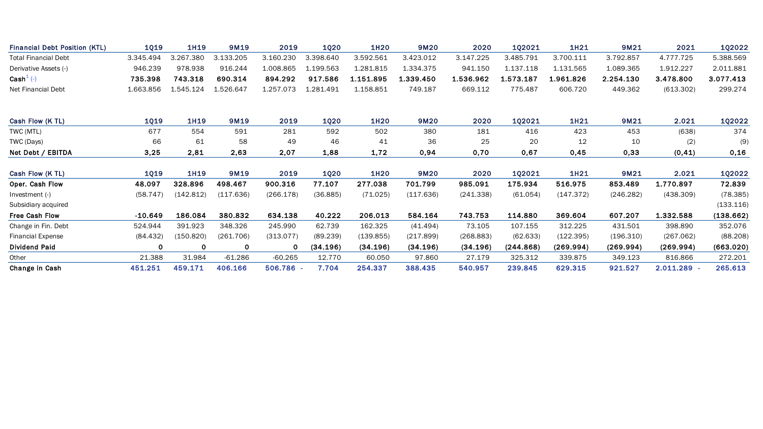| <b>Financial Debt Position (KTL)</b> | <b>1Q19</b> | 1H19      | 9M19      | 2019      | <b>1Q20</b> | 1H20        | 9M20      | 2020      | 1Q2021    | 1H21      | 9M21      | 2021      | <b>1Q2022</b> |
|--------------------------------------|-------------|-----------|-----------|-----------|-------------|-------------|-----------|-----------|-----------|-----------|-----------|-----------|---------------|
| <b>Total Financial Debt</b>          | 3.345.494   | 3.267.380 | 3.133.205 | 3.160.230 | 3.398.640   | 3.592.561   | 3.423.012 | 3.147.225 | 3.485.791 | 3.700.111 | 3.792.857 | 4.777.725 | 5.388.569     |
| Derivative Assets (-)                | 946.239     | 978.938   | 916.244   | 1.008.865 | 1.199.563   | 1.281.815   | 1.334.375 | 941.150   | 1.137.118 | 1.131.565 | 1.089.365 | 1.912.227 | 2.011.881     |
| $\text{Cash}^1$ (-)                  | 735.398     | 743.318   | 690.314   | 894.292   | 917.586     | 1.151.895   | 1.339.450 | 1.536.962 | 1.573.187 | 1.961.826 | 2.254.130 | 3.478.800 | 3.077.413     |
| Net Financial Debt                   | 1.663.856   | 1.545.124 | 1.526.647 | 1.257.073 | 1.281.491   | 1.158.851   | 749.187   | 669.112   | 775.487   | 606.720   | 449.362   | (613.302) | 299.274       |
| Cash Flow (K TL)                     | <b>1Q19</b> | 1H19      | 9M19      | 2019      | <b>1Q20</b> | 1H20        | 9M20      | 2020      | 102021    | 1H21      | 9M21      | 2.021     | 1Q2022        |
| TWC (MTL)                            | 677         | 554       | 591       | 281       | 592         | 502         | 380       | 181       | 416       | 423       | 453       | (638)     | 374           |
| TWC (Days)                           | 66          | 61        | 58        | 49        | 46          | 41          | 36        | 25        | 20        | 12        | 10        | (2)       | (9)           |
| Net Debt / EBITDA                    | 3,25        | 2,81      | 2,63      | 2,07      | 1,88        | 1,72        | 0,94      | 0,70      | 0,67      | 0,45      | 0,33      | (0, 41)   | 0,16          |
| Cash Flow (K TL)                     | <b>1Q19</b> | 1H19      | 9M19      | 2019      | <b>1Q20</b> | <b>1H20</b> | 9M20      | 2020      | 102021    | 1H21      | 9M21      | 2.021     | 1Q2022        |
| Oper. Cash Flow                      | 48.097      | 328.896   | 498.467   | 900.316   | 77.107      | 277.038     | 701.799   | 985.091   | 175.934   | 516.975   | 853.489   | 1.770.897 | 72.839        |
| Investment (-)                       | (58.747)    | (142.812) | (117.636) | (266.178) | (36.885)    | (71.025)    | (117.636) | (241.338) | (61.054)  | (147.372) | (246.282) | (438.309) | (78.385)      |
| Subsidiary acquired                  |             |           |           |           |             |             |           |           |           |           |           |           | (133.116)     |
| <b>Free Cash Flow</b>                | $-10.649$   | 186.084   | 380.832   | 634.138   | 40.222      | 206.013     | 584.164   | 743.753   | 114.880   | 369.604   | 607.207   | 1.332.588 | (138.662)     |
| Change in Fin. Debt                  | 524.944     | 391.923   | 348.326   | 245.990   | 62.739      | 162.325     | (41.494)  | 73.105    | 107.155   | 312.225   | 431.501   | 398.890   | 352.076       |
| <b>Financial Expense</b>             | (84.432)    | (150.820) | (261.706) | (313.077) | (89.239)    | (139.855)   | (217.899) | (268.883) | (62.633)  | (122.395) | (196.310) | (267.062) | (88.208)      |
| <b>Dividend Paid</b>                 | $\mathbf 0$ | 0         | 0         | 0         | (34.196)    | (34.196)    | (34.196)  | (34.196)  | (244.868) | (269.994) | (269.994) | (269.994) | (663.020)     |
| Other                                | 21.388      | 31.984    | $-61.286$ | $-60.265$ | 12.770      | 60.050      | 97.860    | 27.179    | 325.312   | 339,875   | 349.123   | 816.866   | 272.201       |
| Change in Cash                       | 451.251     | 459.171   | 406.166   | 506.786   | 7.704       | 254.337     | 388.435   | 540.957   | 239.845   | 629.315   | 921.527   | 2.011.289 | 265.613       |